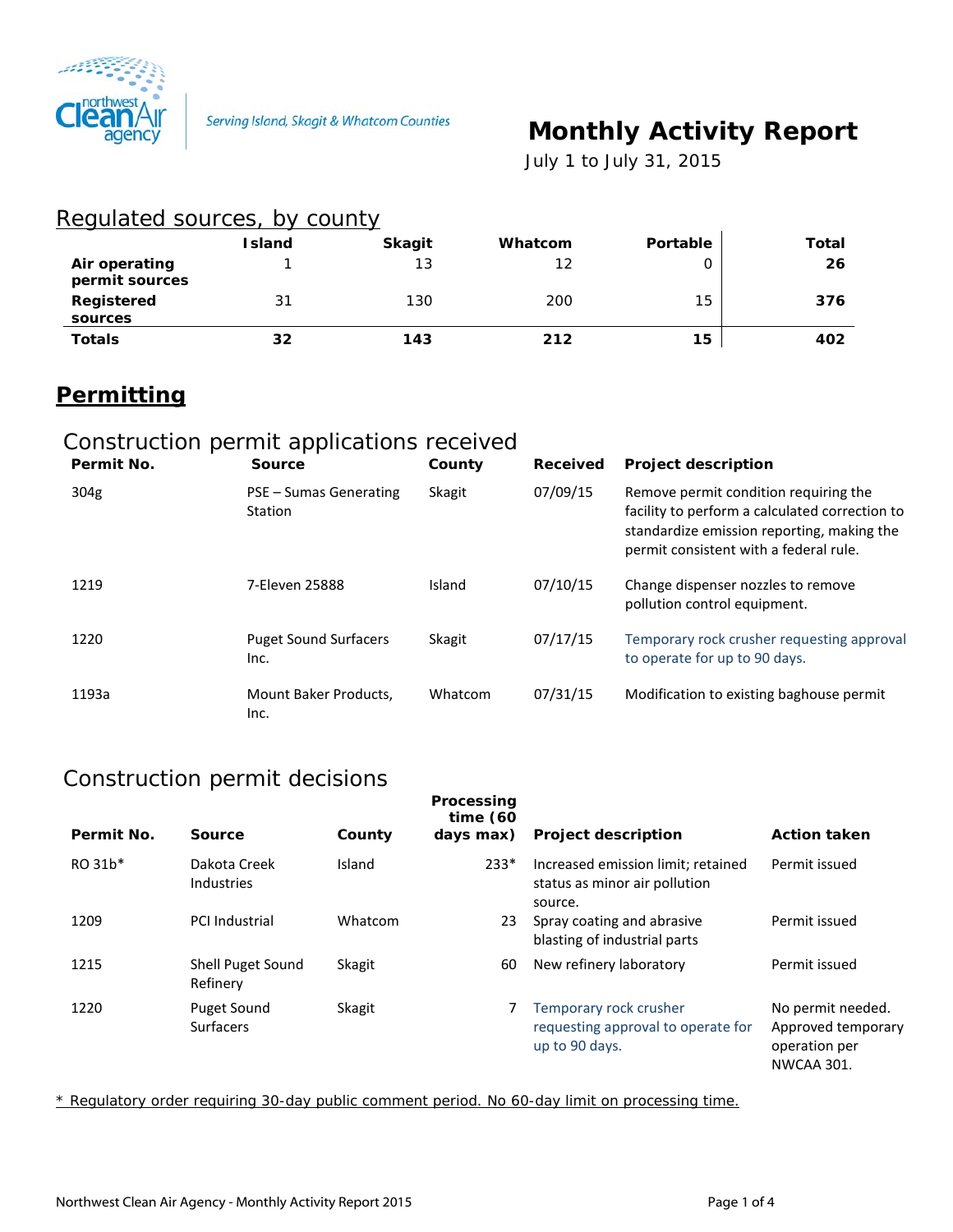

# **Monthly Activity Report**

 *July 1 to July 31, 2015*

### Regulated sources, by county

|                                 | <b>Island</b> | <b>Skagit</b> | Whatcom | Portable | Total |
|---------------------------------|---------------|---------------|---------|----------|-------|
| Air operating<br>permit sources |               | 13            | 12      |          | 26    |
| Registered<br>sources           | 31            | 130           | 200     | 15       | 376   |
| <b>Totals</b>                   | 32            | 143           | 212     | 15       | 402   |

## **Permitting**

## Construction permit applications received

| Permit No.       | <b>Source</b>                            | County        | Received | <b>Project description</b>                                                                                                                                                      |
|------------------|------------------------------------------|---------------|----------|---------------------------------------------------------------------------------------------------------------------------------------------------------------------------------|
| 304 <sub>g</sub> | PSE - Sumas Generating<br><b>Station</b> | <b>Skagit</b> | 07/09/15 | Remove permit condition requiring the<br>facility to perform a calculated correction to<br>standardize emission reporting, making the<br>permit consistent with a federal rule. |
| 1219             | 7-Eleven 25888                           | Island        | 07/10/15 | Change dispenser nozzles to remove<br>pollution control equipment.                                                                                                              |
| 1220             | <b>Puget Sound Surfacers</b><br>Inc.     | <b>Skagit</b> | 07/17/15 | Temporary rock crusher requesting approval<br>to operate for up to 90 days.                                                                                                     |
| 1193a            | Mount Baker Products,<br>Inc.            | Whatcom       | 07/31/15 | Modification to existing baghouse permit                                                                                                                                        |

#### Construction permit decisions

| Permit No. | Source                          | County        | Processing<br>time $(60)$<br>days max) | <b>Project description</b>                                                     | <b>Action taken</b>                                                           |
|------------|---------------------------------|---------------|----------------------------------------|--------------------------------------------------------------------------------|-------------------------------------------------------------------------------|
| RO 31b*    | Dakota Creek<br>Industries      | Island        | $233*$                                 | Increased emission limit; retained<br>status as minor air pollution<br>source. | Permit issued                                                                 |
| 1209       | <b>PCI Industrial</b>           | Whatcom       | 23                                     | Spray coating and abrasive<br>blasting of industrial parts                     | Permit issued                                                                 |
| 1215       | Shell Puget Sound<br>Refinery   | <b>Skagit</b> | 60                                     | New refinery laboratory                                                        | Permit issued                                                                 |
| 1220       | Puget Sound<br><b>Surfacers</b> | <b>Skagit</b> |                                        | Temporary rock crusher<br>requesting approval to operate for<br>up to 90 days. | No permit needed.<br>Approved temporary<br>operation per<br><b>NWCAA 301.</b> |

\* Regulatory order requiring 30-day public comment period. No 60-day limit on processing time.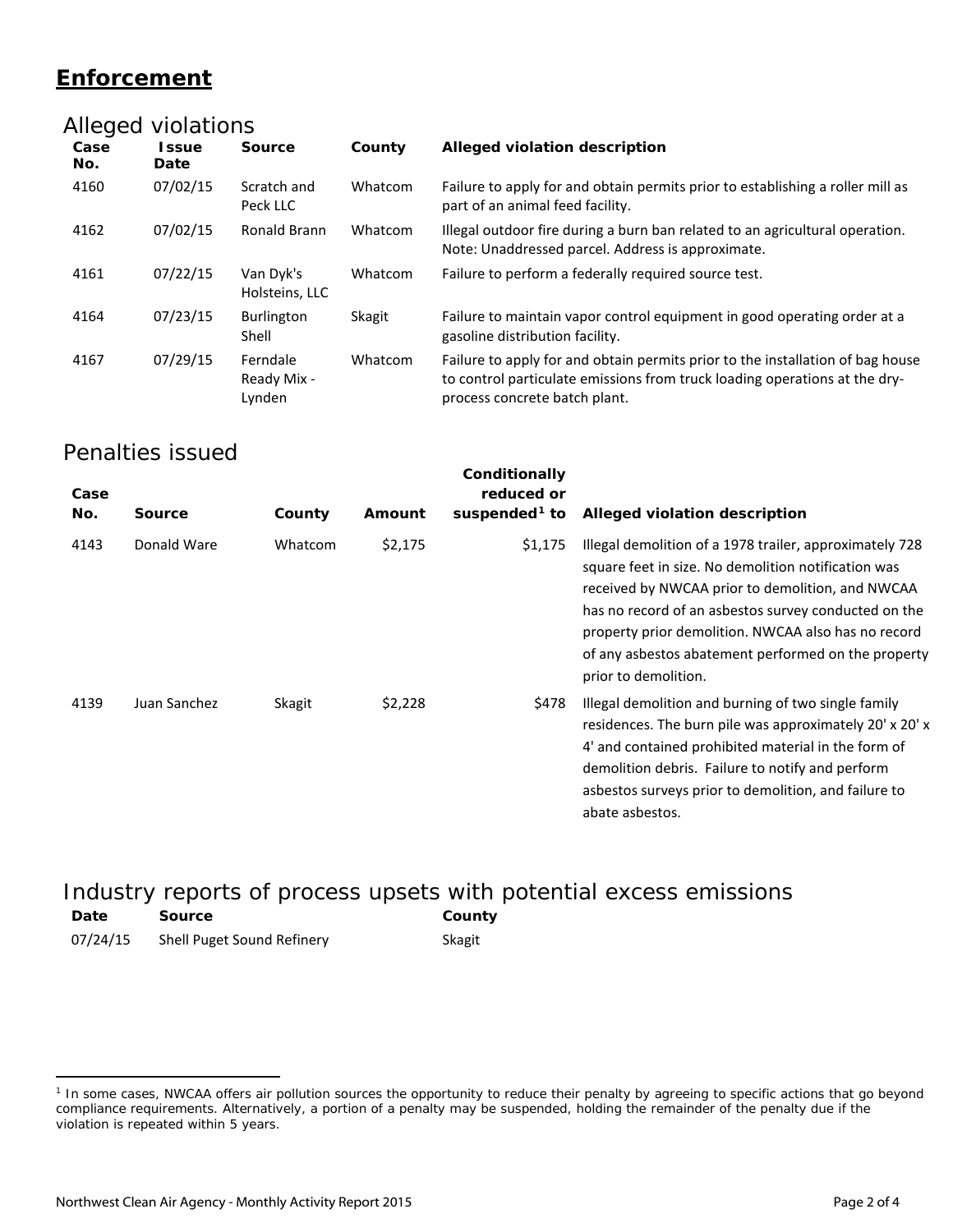## **Enforcement**

|             | Alleged violations          |                                   |               |                                                                                                                                                                                               |
|-------------|-----------------------------|-----------------------------------|---------------|-----------------------------------------------------------------------------------------------------------------------------------------------------------------------------------------------|
| Case<br>No. | <b>Issue</b><br><b>Date</b> | <b>Source</b>                     | County        | Alleged violation description                                                                                                                                                                 |
| 4160        | 07/02/15                    | Scratch and<br>Peck LLC           | Whatcom       | Failure to apply for and obtain permits prior to establishing a roller mill as<br>part of an animal feed facility.                                                                            |
| 4162        | 07/02/15                    | Ronald Brann                      | Whatcom       | Illegal outdoor fire during a burn ban related to an agricultural operation.<br>Note: Unaddressed parcel. Address is approximate.                                                             |
| 4161        | 07/22/15                    | Van Dyk's<br>Holsteins, LLC       | Whatcom       | Failure to perform a federally required source test.                                                                                                                                          |
| 4164        | 07/23/15                    | Burlington<br>Shell               | <b>Skagit</b> | Failure to maintain vapor control equipment in good operating order at a<br>gasoline distribution facility.                                                                                   |
| 4167        | 07/29/15                    | Ferndale<br>Ready Mix -<br>Lynden | Whatcom       | Failure to apply for and obtain permits prior to the installation of bag house<br>to control particulate emissions from truck loading operations at the dry-<br>process concrete batch plant. |

#### Penalties issued

| Case<br>No. | <b>Source</b> | County  | Amount  | Conditionally<br>reduced or<br>suspended <sup>1</sup> to | Alleged violation description                                                                                                                                                                                                                                                                                                                                    |
|-------------|---------------|---------|---------|----------------------------------------------------------|------------------------------------------------------------------------------------------------------------------------------------------------------------------------------------------------------------------------------------------------------------------------------------------------------------------------------------------------------------------|
| 4143        | Donald Ware   | Whatcom | \$2,175 | \$1,175                                                  | Illegal demolition of a 1978 trailer, approximately 728<br>square feet in size. No demolition notification was<br>received by NWCAA prior to demolition, and NWCAA<br>has no record of an asbestos survey conducted on the<br>property prior demolition. NWCAA also has no record<br>of any asbestos abatement performed on the property<br>prior to demolition. |
| 4139        | Juan Sanchez  | Skagit  | \$2,228 | \$478                                                    | Illegal demolition and burning of two single family<br>residences. The burn pile was approximately 20' x 20' x<br>4' and contained prohibited material in the form of<br>demolition debris. Failure to notify and perform<br>asbestos surveys prior to demolition, and failure to<br>abate asbestos.                                                             |

#### Industry reports of process upsets with potential excess emissions **Date Source County** 07/24/15 Shell Puget Sound Refinery Skagit

 $\overline{a}$ 

<span id="page-1-0"></span><sup>&</sup>lt;sup>1</sup> In some cases, NWCAA offers air pollution sources the opportunity to reduce their penalty by agreeing to specific actions that go beyond compliance requirements. Alternatively, a portion of a penalty may be suspended, holding the remainder of the penalty due if the violation is repeated within 5 years.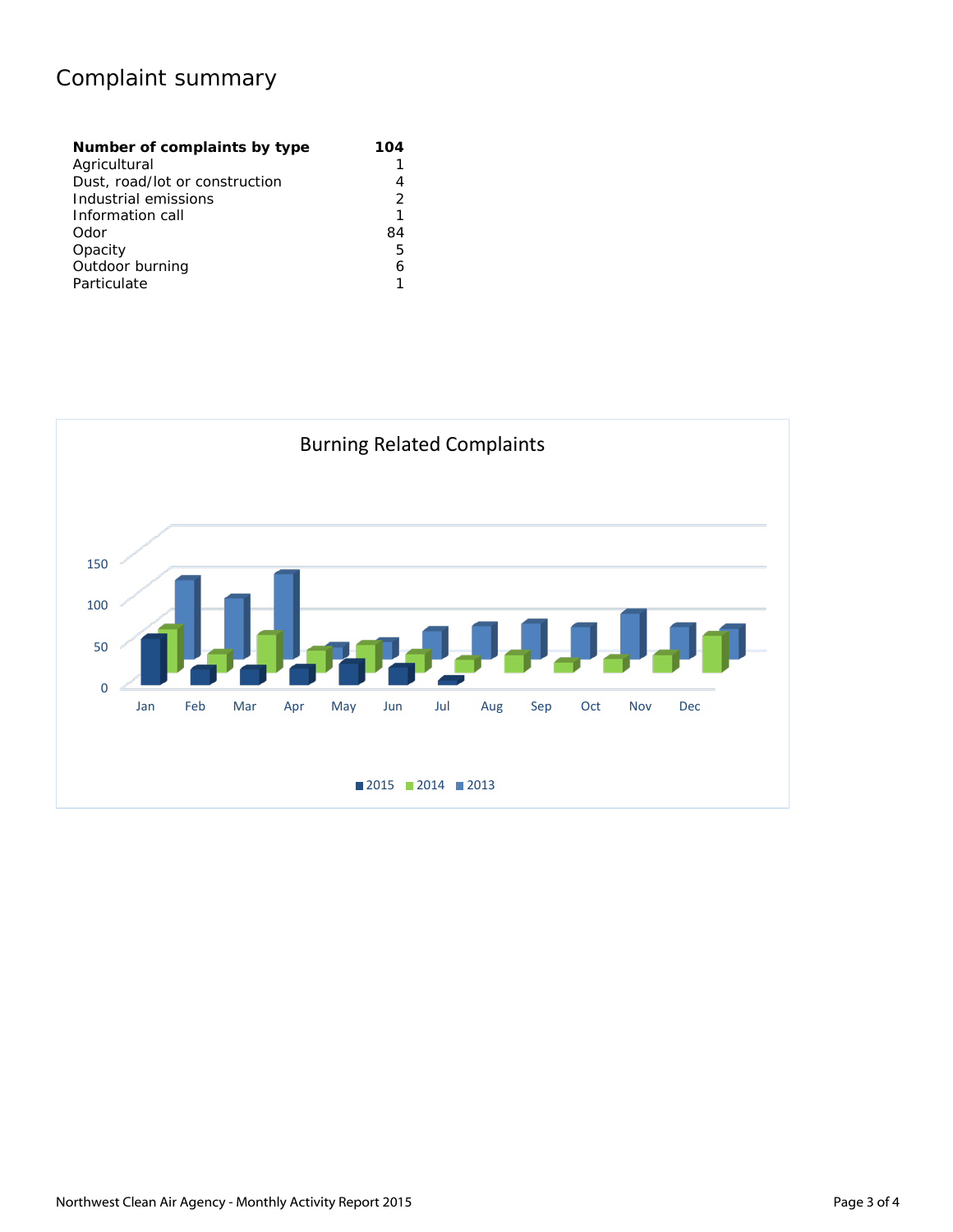## Complaint summary

| Number of complaints by type   | 104 |
|--------------------------------|-----|
| Agricultural                   |     |
| Dust, road/lot or construction |     |
| Industrial emissions           |     |
| Information call               | 1   |
| Odor                           | 84  |
| Opacity                        | 5   |
| Outdoor burning                | 6   |
| Particulate                    |     |